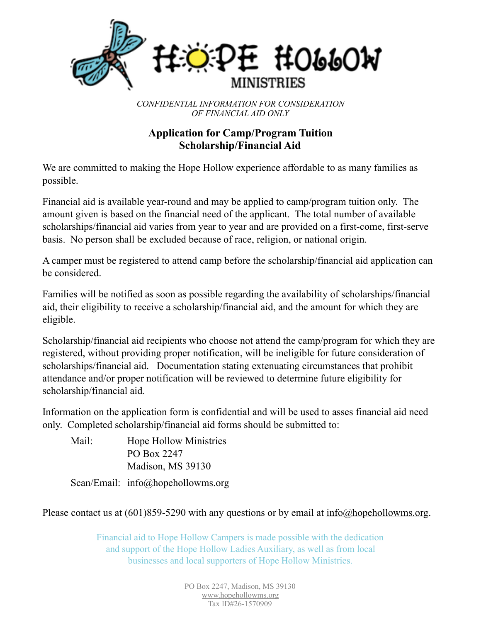

*CONFIDENTIAL INFORMATION FOR CONSIDERATION OF FINANCIAL AID ONLY* 

## **Application for Camp/Program Tuition Scholarship/Financial Aid**

We are committed to making the Hope Hollow experience affordable to as many families as possible.

Financial aid is available year-round and may be applied to camp/program tuition only. The amount given is based on the financial need of the applicant. The total number of available scholarships/financial aid varies from year to year and are provided on a first-come, first-serve basis. No person shall be excluded because of race, religion, or national origin.

A camper must be registered to attend camp before the scholarship/financial aid application can be considered.

Families will be notified as soon as possible regarding the availability of scholarships/financial aid, their eligibility to receive a scholarship/financial aid, and the amount for which they are eligible.

Scholarship/financial aid recipients who choose not attend the camp/program for which they are registered, without providing proper notification, will be ineligible for future consideration of scholarships/financial aid. Documentation stating extenuating circumstances that prohibit attendance and/or proper notification will be reviewed to determine future eligibility for scholarship/financial aid.

Information on the application form is confidential and will be used to asses financial aid need only. Completed scholarship/financial aid forms should be submitted to:

| Mail: | <b>Hope Hollow Ministries</b>     |
|-------|-----------------------------------|
|       | PO Box 2247                       |
|       | Madison, MS 39130                 |
|       | Scan/Email: info@hopehollowms.org |

Please contact us at  $(601)859-5290$  with any questions or by email at  $\text{info@hopehollowms.org}$ .

Financial aid to Hope Hollow Campers is made possible with the dedication and support of the Hope Hollow Ladies Auxiliary, as well as from local businesses and local supporters of Hope Hollow Ministries.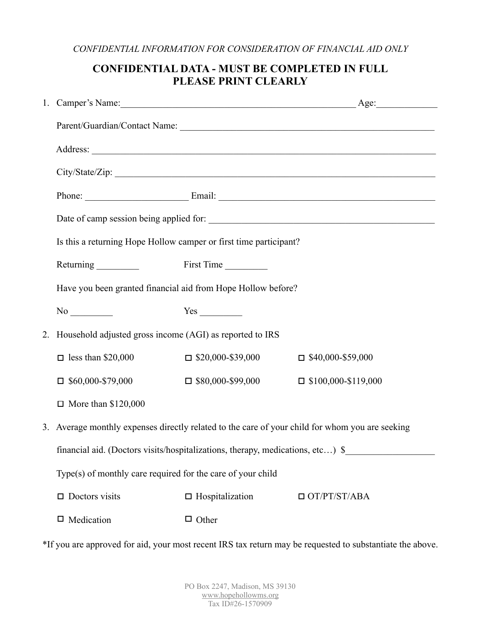## *CONFIDENTIAL INFORMATION FOR CONSIDERATION OF FINANCIAL AID ONLY*

## **CONFIDENTIAL DATA - MUST BE COMPLETED IN FULL PLEASE PRINT CLEARLY**

|    | Is this a returning Hope Hollow camper or first time participant?                               |                          |                            |
|----|-------------------------------------------------------------------------------------------------|--------------------------|----------------------------|
|    | Returning First Time                                                                            |                          |                            |
|    | Have you been granted financial aid from Hope Hollow before?                                    |                          |                            |
|    |                                                                                                 |                          |                            |
| 2. | Household adjusted gross income (AGI) as reported to IRS                                        |                          |                            |
|    | $\Box$ less than \$20,000                                                                       | $\Box$ \$20,000-\$39,000 | $\Box$ \$40,000-\$59,000   |
|    | $\Box$ \$60,000-\$79,000                                                                        | $\Box$ \$80,000-\$99,000 | $\Box$ \$100,000-\$119,000 |
|    | $\Box$ More than \$120,000                                                                      |                          |                            |
|    | 3. Average monthly expenses directly related to the care of your child for whom you are seeking |                          |                            |
|    | financial aid. (Doctors visits/hospitalizations, therapy, medications, etc) \$                  |                          |                            |
|    | Type(s) of monthly care required for the care of your child                                     |                          |                            |
|    | $\Box$ Doctors visits                                                                           | $\Box$ Hospitalization   | $\Box$ OT/PT/ST/ABA        |
|    | $\Box$ Medication                                                                               | $\Box$ Other             |                            |

\*If you are approved for aid, your most recent IRS tax return may be requested to substantiate the above.